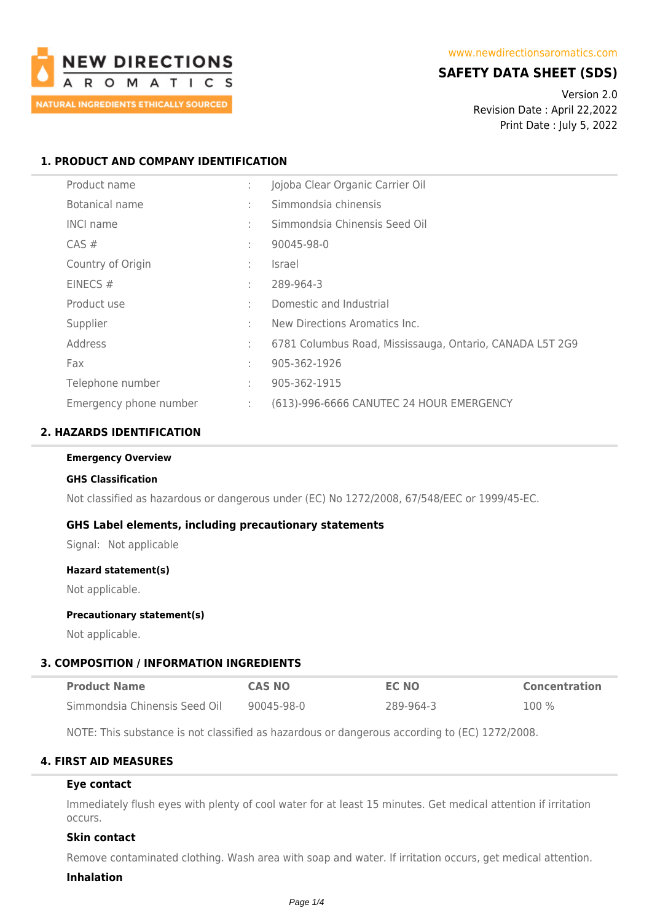

# **SAFETY DATA SHEET (SDS)**

Version 2.0 Revision Date : April 22,2022 Print Date : July 5, 2022

## **1. PRODUCT AND COMPANY IDENTIFICATION**

| Product name           |   | Jojoba Clear Organic Carrier Oil                         |
|------------------------|---|----------------------------------------------------------|
| Botanical name         | ÷ | Simmondsia chinensis                                     |
| <b>INCI name</b>       | ÷ | Simmondsia Chinensis Seed Oil                            |
| $CAS \#$               | ÷ | 90045-98-0                                               |
| Country of Origin      | ÷ | <i>Israel</i>                                            |
| EINECS $#$             | ÷ | 289-964-3                                                |
| Product use            | ÷ | Domestic and Industrial                                  |
| Supplier               | ÷ | New Directions Aromatics Inc.                            |
| Address                | ÷ | 6781 Columbus Road, Mississauga, Ontario, CANADA L5T 2G9 |
| Fax                    | ÷ | 905-362-1926                                             |
| Telephone number       | ÷ | 905-362-1915                                             |
| Emergency phone number | ÷ | (613)-996-6666 CANUTEC 24 HOUR EMERGENCY                 |

## **2. HAZARDS IDENTIFICATION**

#### **Emergency Overview**

#### **GHS Classification**

Not classified as hazardous or dangerous under (EC) No 1272/2008, 67/548/EEC or 1999/45-EC.

#### **GHS Label elements, including precautionary statements**

Signal: Not applicable

#### **Hazard statement(s)**

Not applicable.

### **Precautionary statement(s)**

Not applicable.

#### **3. COMPOSITION / INFORMATION INGREDIENTS**

| <b>Product Name</b>           | <b>CAS NO</b> | <b>EC NO</b> | <b>Concentration</b> |
|-------------------------------|---------------|--------------|----------------------|
| Simmondsia Chinensis Seed Oil | 90045-98-0    | 289-964-3    | $100\%$              |

NOTE: This substance is not classified as hazardous or dangerous according to (EC) 1272/2008.

### **4. FIRST AID MEASURES**

#### **Eye contact**

Immediately flush eyes with plenty of cool water for at least 15 minutes. Get medical attention if irritation occurs.

### **Skin contact**

Remove contaminated clothing. Wash area with soap and water. If irritation occurs, get medical attention.

#### **Inhalation**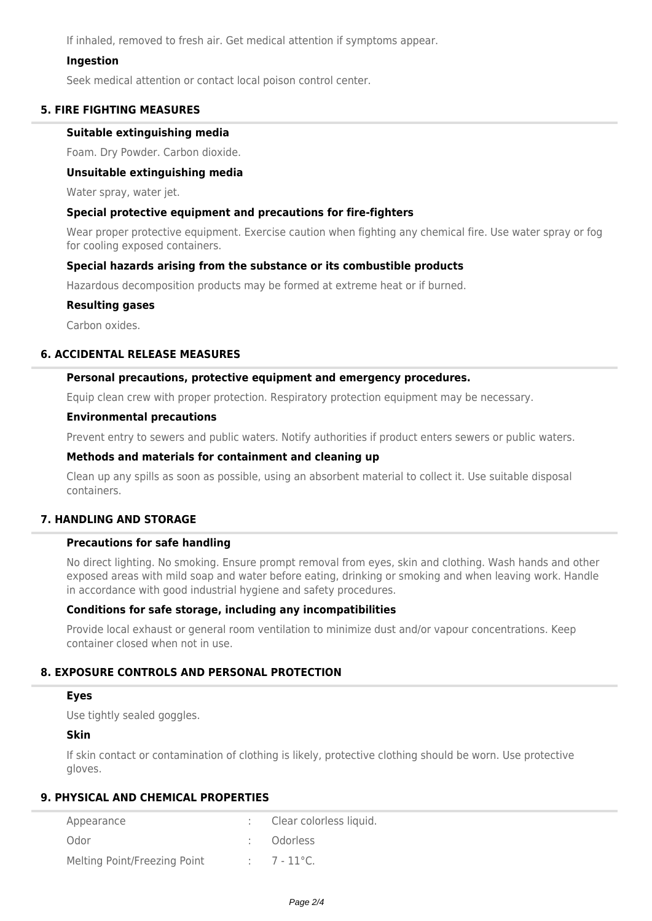If inhaled, removed to fresh air. Get medical attention if symptoms appear.

### **Ingestion**

Seek medical attention or contact local poison control center.

## **5. FIRE FIGHTING MEASURES**

### **Suitable extinguishing media**

Foam. Dry Powder. Carbon dioxide.

### **Unsuitable extinguishing media**

Water spray, water jet.

### **Special protective equipment and precautions for fire-fighters**

Wear proper protective equipment. Exercise caution when fighting any chemical fire. Use water spray or fog for cooling exposed containers.

### **Special hazards arising from the substance or its combustible products**

Hazardous decomposition products may be formed at extreme heat or if burned.

### **Resulting gases**

Carbon oxides.

## **6. ACCIDENTAL RELEASE MEASURES**

### **Personal precautions, protective equipment and emergency procedures.**

Equip clean crew with proper protection. Respiratory protection equipment may be necessary.

#### **Environmental precautions**

Prevent entry to sewers and public waters. Notify authorities if product enters sewers or public waters.

#### **Methods and materials for containment and cleaning up**

Clean up any spills as soon as possible, using an absorbent material to collect it. Use suitable disposal containers.

### **7. HANDLING AND STORAGE**

### **Precautions for safe handling**

No direct lighting. No smoking. Ensure prompt removal from eyes, skin and clothing. Wash hands and other exposed areas with mild soap and water before eating, drinking or smoking and when leaving work. Handle in accordance with good industrial hygiene and safety procedures.

### **Conditions for safe storage, including any incompatibilities**

Provide local exhaust or general room ventilation to minimize dust and/or vapour concentrations. Keep container closed when not in use.

### **8. EXPOSURE CONTROLS AND PERSONAL PROTECTION**

## **Eyes**

Use tightly sealed goggles.

# **Skin**

If skin contact or contamination of clothing is likely, protective clothing should be worn. Use protective gloves.

## **9. PHYSICAL AND CHEMICAL PROPERTIES**

| Appearance                   | Clear colorless liquid. |
|------------------------------|-------------------------|
| Odor                         | : Odorless              |
| Melting Point/Freezing Point | $7 - 11^{\circ}$ C.     |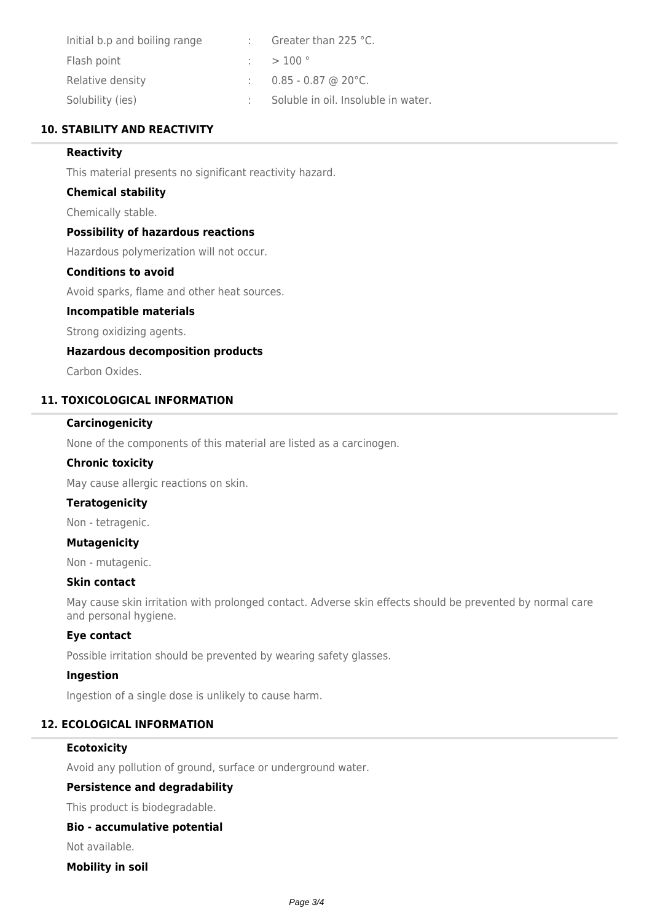| Initial b.p and boiling range | Greater than 225 °C.                |
|-------------------------------|-------------------------------------|
| Flash point                   | $:$ > 100 $^{\circ}$                |
| Relative density              | $\therefore$ 0.85 - 0.87 @ 20 °C.   |
| Solubility (ies)              | Soluble in oil. Insoluble in water. |

## **10. STABILITY AND REACTIVITY**

## **Reactivity**

This material presents no significant reactivity hazard.

### **Chemical stability**

Chemically stable.

### **Possibility of hazardous reactions**

Hazardous polymerization will not occur.

# **Conditions to avoid**

Avoid sparks, flame and other heat sources.

## **Incompatible materials**

Strong oxidizing agents.

#### **Hazardous decomposition products**

Carbon Oxides.

### **11. TOXICOLOGICAL INFORMATION**

#### **Carcinogenicity**

None of the components of this material are listed as a carcinogen.

#### **Chronic toxicity**

May cause allergic reactions on skin.

#### **Teratogenicity**

Non - tetragenic.

#### **Mutagenicity**

Non - mutagenic.

#### **Skin contact**

May cause skin irritation with prolonged contact. Adverse skin effects should be prevented by normal care and personal hygiene.

#### **Eye contact**

Possible irritation should be prevented by wearing safety glasses.

## **Ingestion**

Ingestion of a single dose is unlikely to cause harm.

## **12. ECOLOGICAL INFORMATION**

### **Ecotoxicity**

Avoid any pollution of ground, surface or underground water.

### **Persistence and degradability**

This product is biodegradable.

#### **Bio - accumulative potential**

Not available.

## **Mobility in soil**